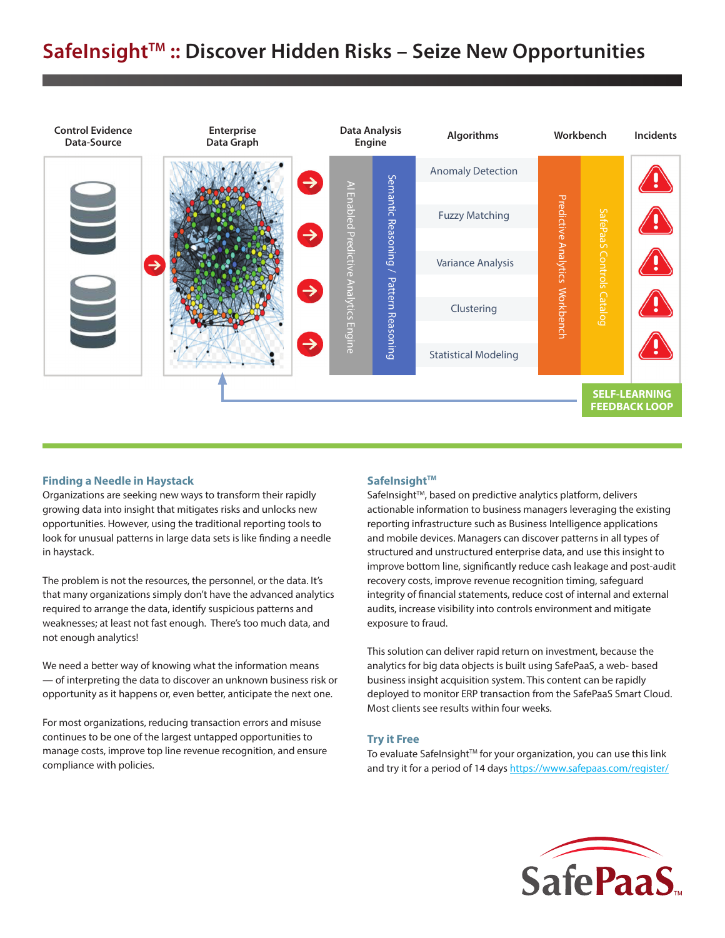# SafeInsight<sup>™</sup> :: Discover Hidden Risks - Seize New Opportunities



## **Finding a Needle in Haystack**

Organizations are seeking new ways to transform their rapidly growing data into insight that mitigates risks and unlocks new opportunities. However, using the traditional reporting tools to look for unusual patterns in large data sets is like finding a needle in haystack.

The problem is not the resources, the personnel, or the data. It's that many organizations simply don't have the advanced analytics required to arrange the data, identify suspicious patterns and weaknesses; at least not fast enough. There's too much data, and not enough analytics!

We need a better way of knowing what the information means — of interpreting the data to discover an unknown business risk or opportunity as it happens or, even better, anticipate the next one.

For most organizations, reducing transaction errors and misuse continues to be one of the largest untapped opportunities to manage costs, improve top line revenue recognition, and ensure compliance with policies.

## SafeInsight<sup>™</sup>

SafeInsight™, based on predictive analytics platform, delivers actionable information to business managers leveraging the existing reporting infrastructure such as Business Intelligence applications and mobile devices. Managers can discover patterns in all types of structured and unstructured enterprise data, and use this insight to improve bottom line, significantly reduce cash leakage and post-audit recovery costs, improve revenue recognition timing, safeguard integrity of financial statements, reduce cost of internal and external audits, increase visibility into controls environment and mitigate exposure to fraud.

This solution can deliver rapid return on investment, because the analytics for big data objects is built using SafePaaS, a web- based business insight acquisition system. This content can be rapidly deployed to monitor ERP transaction from the SafePaaS Smart Cloud. Most clients see results within four weeks.

#### **Try it Free**

To evaluate SafeInsight™ for your organization, you can use this link and try it for a period of 14 days https://www.safepaas.com/register/